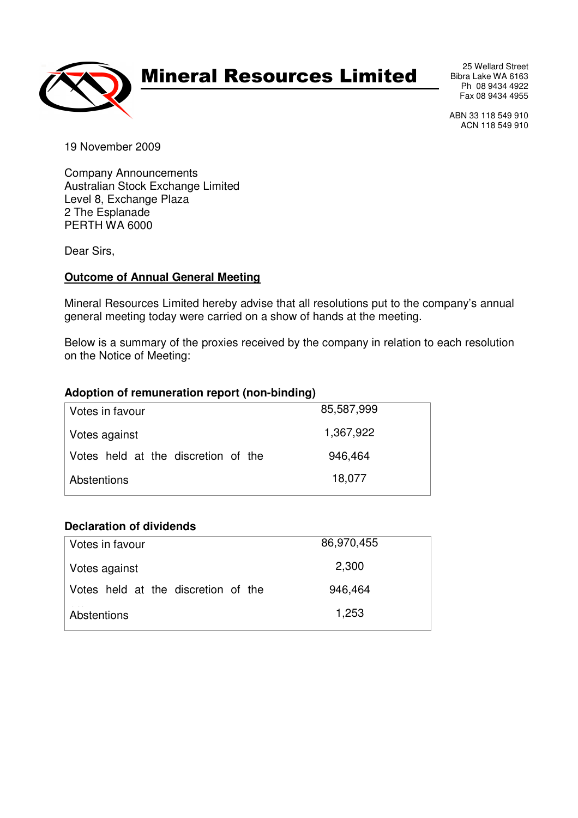

## Mineral Resources Limited

25 Wellard Street Bibra Lake WA 6163 Ph 08 9434 4922 Fax 08 9434 4955

ABN 33 118 549 910 ACN 118 549 910

19 November 2009

Company Announcements Australian Stock Exchange Limited Level 8, Exchange Plaza 2 The Esplanade PERTH WA 6000

Dear Sirs,

#### **Outcome of Annual General Meeting**

Mineral Resources Limited hereby advise that all resolutions put to the company's annual general meeting today were carried on a show of hands at the meeting.

Below is a summary of the proxies received by the company in relation to each resolution on the Notice of Meeting:

#### **Adoption of remuneration report (non-binding)**

| Votes in favour                     | 85,587,999 |
|-------------------------------------|------------|
| Votes against                       | 1,367,922  |
| Votes held at the discretion of the | 946,464    |
| Abstentions                         | 18,077     |
|                                     |            |

#### **Declaration of dividends**

| Votes in favour                     | 86,970,455 |
|-------------------------------------|------------|
| Votes against                       | 2,300      |
| Votes held at the discretion of the | 946,464    |
| Abstentions                         | 1,253      |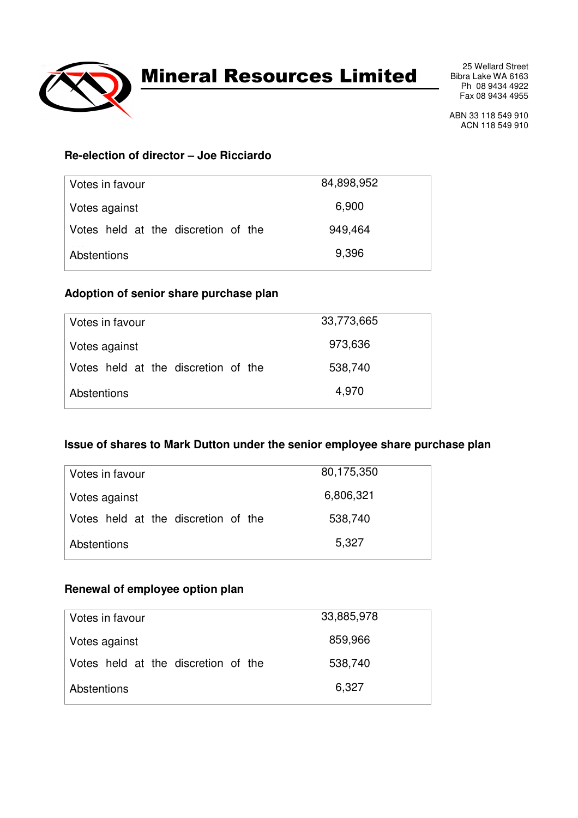

## Mineral Resources Limited

25 Wellard Street Bibra Lake WA 6163 Ph 08 9434 4922 Fax 08 9434 4955

ABN 33 118 549 910 ACN 118 549 910

## **Re-election of director – Joe Ricciardo**

| Votes in favour                     | 84,898,952 |
|-------------------------------------|------------|
| Votes against                       | 6,900      |
| Votes held at the discretion of the | 949,464    |
| Abstentions                         | 9,396      |

### **Adoption of senior share purchase plan**

| Votes in favour                     | 33,773,665 |
|-------------------------------------|------------|
| Votes against                       | 973,636    |
| Votes held at the discretion of the | 538,740    |
| Abstentions                         | 4,970      |

### **Issue of shares to Mark Dutton under the senior employee share purchase plan**

| Votes in favour                     | 80,175,350 |
|-------------------------------------|------------|
| Votes against                       | 6,806,321  |
| Votes held at the discretion of the | 538,740    |
| Abstentions                         | 5,327      |

### **Renewal of employee option plan**

| Votes in favour                     | 33,885,978 |
|-------------------------------------|------------|
| Votes against                       | 859,966    |
| Votes held at the discretion of the | 538,740    |
| Abstentions                         | 6,327      |